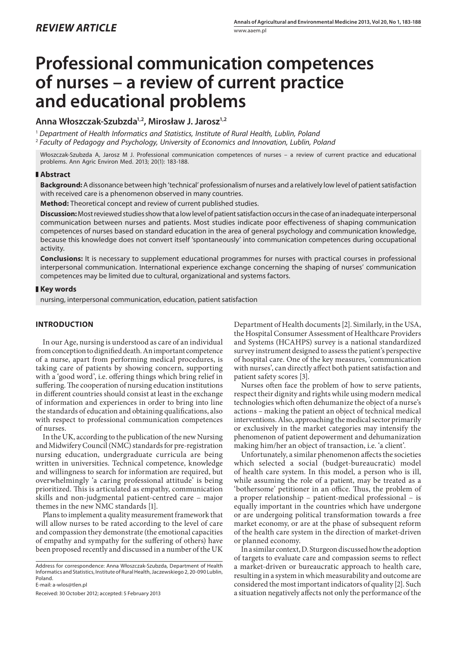# **Professional communication competences of nurses – a review of current practice and educational problems**

## **Anna Włoszczak-Szubzda1,2, Mirosław J. Jarosz1,2**

<sup>1</sup> *Department of Health Informatics and Statistics, Institute of Rural Health, Lublin, Poland* <sup>2</sup> *Faculty of Pedagogy and Psychology, University of Economics and Innovation, Lublin, Poland*

Włoszczak-Szubzda A, Jarosz M J. Professional communication competences of nurses – a review of current practice and educational problems. Ann Agric Environ Med. 2013; 20(1): 183-188.

## **Abstract**

**Background:** A dissonance between high 'technical' professionalism of nurses and a relatively low level of patient satisfaction with received care is a phenomenon observed in many countries.

**Method:** Theoretical concept and review of current published studies.

**Discussion:** Most reviewed studies show that a low level of patient satisfaction occurs in the case of an inadequate interpersonal communication between nurses and patients. Most studies indicate poor effectiveness of shaping communication competences of nurses based on standard education in the area of general psychology and communication knowledge, because this knowledge does not convert itself 'spontaneously' into communication competences during occupational activity.

**Conclusions:** It is necessary to supplement educational programmes for nurses with practical courses in professional interpersonal communication. International experience exchange concerning the shaping of nurses' communication competences may be limited due to cultural, organizational and systems factors.

## **Key words**

nursing, interpersonal communication, education, patient satisfaction

## **Introduction**

In our Age, nursing is understood as care of an individual from conception to dignified death. An important competence of a nurse, apart from performing medical procedures, is taking care of patients by showing concern, supporting with a 'good word', i.e. offering things which bring relief in suffering. The cooperation of nursing education institutions in different countries should consist at least in the exchange of information and experiences in order to bring into line the standards of education and obtaining qualifications, also with respect to professional communication competences of nurses.

In the UK, according to the publication of the new Nursing and Midwifery Council (NMC) standards for pre-registration nursing education, undergraduate curricula are being written in universities. Technical competence, knowledge and willingness to search for information are required, but overwhelmingly 'a caring professional attitude' is being prioritized. This is articulated as empathy, communication skills and non-judgmental patient-centred care – major themes in the new NMC standards [1].

Plans to implement a quality measurement framework that will allow nurses to be rated according to the level of care and compassion they demonstrate (the emotional capacities of empathy and sympathy for the suffering of others) have been proposed recently and discussed in a number of the UK

Address for correspondence: Anna Włoszczak-Szubzda, Department of Health Informatics and Statistics, Institute of Rural Health, Jaczewskiego 2, 20-090 Lublin, Poland.

E-mail: a-wlos@tlen.pl

Received: 30 October 2012; accepted: 5 February 2013

Department of Health documents [2]. Similarly, in the USA, the Hospital Consumer Assessment of Healthcare Providers and Systems (HCAHPS) survey is a national standardized survey instrument designed to assess the patient's perspective of hospital care. One of the key measures, 'communication with nurses', can directly affect both patient satisfaction and patient safety scores [3].

Nurses often face the problem of how to serve patients, respect their dignity and rights while using modern medical technologies which often dehumanize the object of a nurse's actions – making the patient an object of technical medical interventions. Also, approaching the medical sector primarily or exclusively in the market categories may intensify the phenomenon of patient depowerment and dehumanization making him/her an object of transaction, i.e. 'a client'.

Unfortunately, a similar phenomenon affects the societies which selected a social (budget-bureaucratic) model of health care system. In this model, a person who is ill, while assuming the role of a patient, may be treated as a 'bothersome' petitioner in an office. Thus, the problem of a proper relationship – patient-medical professional – is equally important in the countries which have undergone or are undergoing political transformation towards a free market economy, or are at the phase of subsequent reform of the health care system in the direction of market-driven or planned economy.

In a similar context, D. Sturgeon discussed how the adoption of targets to evaluate care and compassion seems to reflect a market-driven or bureaucratic approach to health care, resulting in a system in which measurability and outcome are considered the most important indicators of quality [2]. Such a situation negatively affects not only the performance of the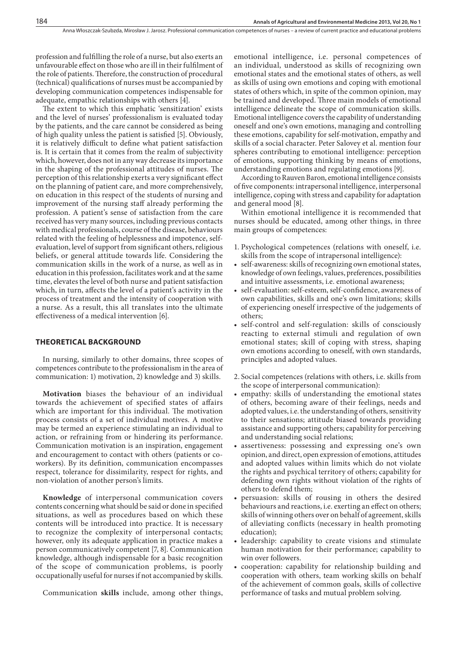profession and fulfilling the role of a nurse, but also exerts an unfavourable effect on those who are ill in their fulfilment of the role of patients. Therefore, the construction of procedural (technical) qualifications of nurses must be accompanied by developing communication competences indispensable for adequate, empathic relationships with others [4].

The extent to which this emphatic 'sensitization' exists and the level of nurses' professionalism is evaluated today by the patients, and the care cannot be considered as being of high quality unless the patient is satisfied [5]. Obviously, it is relatively difficult to define what patient satisfaction is. It is certain that it comes from the realm of subjectivity which, however, does not in any way decrease its importance in the shaping of the professional attitudes of nurses. The perception of this relationship exerts a very significant effect on the planning of patient care, and more comprehensively, on education in this respect of the students of nursing and improvement of the nursing staff already performing the profession. A patient's sense of satisfaction from the care received has very many sources, including previous contacts with medical professionals, course of the disease, behaviours related with the feeling of helplessness and impotence, selfevaluation, level of support from significant others, religious beliefs, or general attitude towards life. Considering the communication skills in the work of a nurse, as well as in education in this profession, facilitates work and at the same time, elevates the level of both nurse and patient satisfaction which, in turn, affects the level of a patient's activity in the process of treatment and the intensity of cooperation with a nurse. As a result, this all translates into the ultimate effectiveness of a medical intervention [6].

## **Theoretical background**

In nursing, similarly to other domains, three scopes of competences contribute to the professionalism in the area of communication: 1) motivation, 2) knowledge and 3) skills.

**Motivation** biases the behaviour of an individual towards the achievement of specified states of affairs which are important for this individual. The motivation process consists of a set of individual motives. A motive may be termed an experience stimulating an individual to action, or refraining from or hindering its performance. Communication motivation is an inspiration, engagement and encouragement to contact with others (patients or coworkers). By its definition, communication encompasses respect, tolerance for dissimilarity, respect for rights, and non-violation of another person's limits.

**Knowledge** of interpersonal communication covers contents concerning what should be said or done in specified situations, as well as procedures based on which these contents will be introduced into practice. It is necessary to recognize the complexity of interpersonal contacts; however, only its adequate application in practice makes a person communicatively competent [7, 8]. Communication knowledge, although indispensable for a basic recognition of the scope of communication problems, is poorly occupationally useful for nurses if not accompanied by skills.

Communication **skills** include, among other things,

emotional intelligence, i.e. personal competences of an individual, understood as skills of recognizing own emotional states and the emotional states of others, as well as skills of using own emotions and coping with emotional states of others which, in spite of the common opinion, may be trained and developed. Three main models of emotional intelligence delineate the scope of communication skills. Emotional intelligence covers the capability of understanding oneself and one's own emotions, managing and controlling these emotions, capability for self-motivation, empathy and skills of a social character. Peter Salovey et al. mention four spheres contributing to emotional intelligence: perception of emotions, supporting thinking by means of emotions, understanding emotions and regulating emotions [9].

According to Rauven Baron, emotional intelligence consists of five components: intrapersonal intelligence, interpersonal intelligence, coping with stress and capability for adaptation and general mood [8].

Within emotional intelligence it is recommended that nurses should be educated, among other things, in three main groups of competences:

- 1. Psychological competences (relations with oneself, i.e. skills from the scope of intrapersonal intelligence):
- self-awareness: skills of recognizing own emotional states, knowledge of own feelings, values, preferences, possibilities and intuitive assessments, i.e. emotional awareness;
- self-evaluation: self-esteem, self-confidence, awareness of own capabilities, skills and one's own limitations; skills of experiencing oneself irrespective of the judgements of others;
- • self-control and self-regulation: skills of consciously reacting to external stimuli and regulation of own emotional states; skill of coping with stress, shaping own emotions according to oneself, with own standards, principles and adopted values.
- 2. Social competences (relations with others, i.e. skills from the scope of interpersonal communication):
- empathy: skills of understanding the emotional states of others, becoming aware of their feelings, needs and adopted values, i.e. the understanding of others, sensitivity to their sensations; attitude biased towards providing assistance and supporting others; capability for perceiving and understanding social relations;
- • assertiveness: possessing and expressing one's own opinion, and direct, open expression of emotions, attitudes and adopted values within limits which do not violate the rights and psychical territory of others; capability for defending own rights without violation of the rights of others to defend them;
- persuasion: skills of rousing in others the desired behaviours and reactions, i.e. exerting an effect on others; skills of winning others over on behalf of agreement, skills of alleviating conflicts (necessary in health promoting education);
- • leadership: capability to create visions and stimulate human motivation for their performance; capability to win over followers.
- cooperation: capability for relationship building and cooperation with others, team working skills on behalf of the achievement of common goals, skills of collective performance of tasks and mutual problem solving.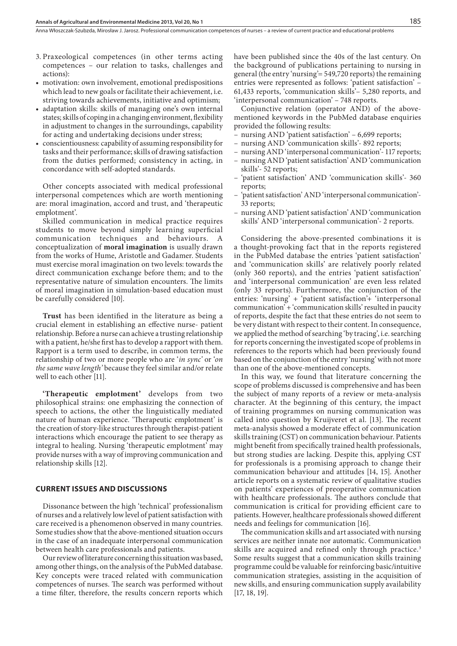Anna Włoszczak-Szubzda, Mirosław J. Jarosz . Professional communication competences of nurses – a review of current practice and educational problems

- 3. Praxeological competences (in other terms acting competences – our relation to tasks, challenges and actions):
- motivation: own involvement, emotional predispositions which lead to new goals or facilitate their achievement, i.e. striving towards achievements, initiative and optimism;
- adaptation skills: skills of managing one's own internal states; skills of coping in a changing environment, flexibility in adjustment to changes in the surroundings, capability for acting and undertaking decisions under stress;
- conscientiousness: capability of assuming responsibility for tasks and their performance; skills of drawing satisfaction from the duties performed; consistency in acting, in concordance with self-adopted standards.

Other concepts associated with medical professional interpersonal competences which are worth mentioning are: moral imagination, accord and trust, and 'therapeutic emplotment'.

Skilled communication in medical practice requires students to move beyond simply learning superficial communication techniques and behaviours. A conceptualization of **moral imagination** is usually drawn from the works of Hume, Aristotle and Gadamer. Students must exercise moral imagination on two levels: towards the direct communication exchange before them; and to the representative nature of simulation encounters. The limits of moral imagination in simulation-based education must be carefully considered [10].

**Trust** has been identified in the literature as being a crucial element in establishing an effective nurse- patient relationship. Before a nurse can achieve a trusting relationship with a patient, he/she first has to develop a rapport with them. Rapport is a term used to describe, in common terms, the relationship of two or more people who are '*in sync'* or '*on the same wave length'* because they feel similar and/or relate well to each other [11].

**'Therapeutic emplotment'** develops from two philosophical strains: one emphasizing the connection of speech to actions, the other the linguistically mediated nature of human experience. 'Therapeutic emplotment' is the creation of story-like structures through therapist-patient interactions which encourage the patient to see therapy as integral to healing. Nursing 'therapeutic emplotment' may provide nurses with a way of improving communication and relationship skills [12].

#### **Current issues and discussions**

Dissonance between the high 'technical' professionalism of nurses and a relatively low level of patient satisfaction with care received is a phenomenon observed in many countries. Some studies show that the above-mentioned situation occurs in the case of an inadequate interpersonal communication between health care professionals and patients.

Our review of literature concerning this situation was based, among other things, on the analysis of the PubMed database. Key concepts were traced related with communication competences of nurses. The search was performed without a time filter, therefore, the results concern reports which have been published since the 40s of the last century. On the background of publications pertaining to nursing in general (the entry 'nursing'= 549,720 reports) the remaining entries were represented as follows: 'patient satisfaction' – 61,433 reports, 'communication skills'– 5,280 reports, and 'interpersonal communication' – 748 reports.

Conjunctive relation (operator AND) of the abovementioned keywords in the PubMed database enquiries provided the following results:

- nursing AND 'patient satisfaction' 6,699 reports;
- nursing AND 'communication skills'- 892 reports;
- nursing AND 'interpersonal communication'- 117 reports;
- nursing AND 'patient satisfaction' AND 'communication skills'- 52 reports;
- 'patient satisfaction' AND 'communication skills'- 360 reports;
- 'patient satisfaction' AND 'interpersonal communication'- 33 reports;
- nursing AND 'patient satisfaction' AND 'communication skills' AND 'interpersonal communication'- 2 reports.

Considering the above-presented combinations it is a thought-provoking fact that in the reports registered in the PubMed database the entries 'patient satisfaction' and 'communication skills' are relatively poorly related (only 360 reports), and the entries 'patient satisfaction' and 'interpersonal communication' are even less related (only 33 reports). Furthermore, the conjunction of the entries: 'nursing' + 'patient satisfaction'+ 'interpersonal communication' + 'communication skills' resulted in paucity of reports, despite the fact that these entries do not seem to be very distant with respect to their content. In consequence, we applied the method of searching 'by tracing', i.e. searching for reports concerning the investigated scope of problems in references to the reports which had been previously found based on the conjunction of the entry 'nursing' with not more than one of the above-mentioned concepts.

In this way, we found that literature concerning the scope of problems discussed is comprehensive and has been the subject of many reports of a review or meta-analysis character. At the beginning of this century, the impact of training programmes on nursing communication was called into question by Kruijveret et al. [13]. The recent meta-analysis showed a moderate effect of communication skills training (CST) on communication behaviour. Patients might benefit from specifically trained health professionals, but strong studies are lacking. Despite this, applying CST for professionals is a promising approach to change their communication behaviour and attitudes [14, 15]. Another article reports on a systematic review of qualitative studies on patients' experiences of preoperative communication with healthcare professionals. The authors conclude that communication is critical for providing efficient care to patients. However, healthcare professionals showed different needs and feelings for communication [16].

The communication skills and art associated with nursing services are neither innate nor automatic. Communication skills are acquired and refined only through practice.<sup>3</sup> Some results suggest that a communication skills training programme could be valuable for reinforcing basic/intuitive communication strategies, assisting in the acquisition of new skills, and ensuring communication supply availability [17, 18, 19].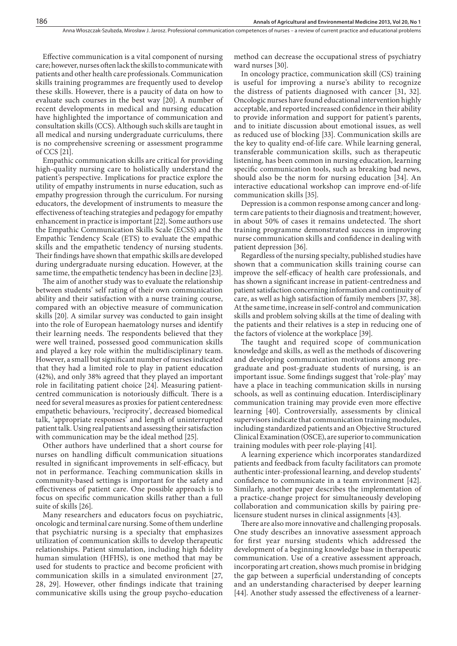Effective communication is a vital component of nursing care; however, nurses often lack the skills to communicate with patients and other health care professionals. Communication skills training programmes are frequently used to develop these skills. However, there is a paucity of data on how to evaluate such courses in the best way [20]. A number of recent developments in medical and nursing education have highlighted the importance of communication and consultation skills (CCS). Although such skills are taught in all medical and nursing undergraduate curriculums, there is no comprehensive screening or assessment programme of CCS [21].

Empathic communication skills are critical for providing high-quality nursing care to holistically understand the patient's perspective. Implications for practice explore the utility of empathy instruments in nurse education, such as empathy progression through the curriculum. For nursing educators, the development of instruments to measure the effectiveness of teaching strategies and pedagogy for empathy enhancement in practice is important [22]. Some authors use the Empathic Communication Skills Scale (ECSS) and the Empathic Tendency Scale (ETS) to evaluate the empathic skills and the empathetic tendency of nursing students. Their findings have shown that empathic skills are developed during undergraduate nursing education. However, at the same time, the empathetic tendency has been in decline [23].

The aim of another study was to evaluate the relationship between students' self rating of their own communication ability and their satisfaction with a nurse training course, compared with an objective measure of communication skills [20]. A similar survey was conducted to gain insight into the role of European haematology nurses and identify their learning needs. The respondents believed that they were well trained, possessed good communication skills and played a key role within the multidisciplinary team. However, a small but significant number of nurses indicated that they had a limited role to play in patient education (42%), and only 38% agreed that they played an important role in facilitating patient choice [24]. Measuring patientcentred communication is notoriously difficult. There is a need for several measures as proxies for patient centeredness: empathetic behaviours, 'reciprocity', decreased biomedical talk, 'appropriate responses' and length of uninterrupted patient talk. Using real patients and assessing their satisfaction with communication may be the ideal method [25].

Other authors have underlined that a short course for nurses on handling difficult communication situations resulted in significant improvements in self-efficacy, but not in performance. Teaching communication skills in community-based settings is important for the safety and effectiveness of patient care. One possible approach is to focus on specific communication skills rather than a full suite of skills [26].

Many researchers and educators focus on psychiatric, oncologic and terminal care nursing. Some of them underline that psychiatric nursing is a specialty that emphasizes utilization of communication skills to develop therapeutic relationships. Patient simulation, including high fidelity human simulation (HFHS), is one method that may be used for students to practice and become proficient with communication skills in a simulated environment [27, 28, 29]. However, other findings indicate that training communicative skills using the group psycho-education

method can decrease the occupational stress of psychiatry ward nurses [30].

In oncology practice, communication skill (CS) training is useful for improving a nurse's ability to recognize the distress of patients diagnosed with cancer [31, 32]. Oncologic nurses have found educational intervention highly acceptable, and reported increased confidence in their ability to provide information and support for patient's parents, and to initiate discussion about emotional issues, as well as reduced use of blocking [33]. Communication skills are the key to quality end-of-life care. While learning general, transferable communication skills, such as therapeutic listening, has been common in nursing education, learning specific communication tools, such as breaking bad news, should also be the norm for nursing education [34]. An interactive educational workshop can improve end-of-life communication skills [35].

Depression is a common response among cancer and longterm care patients to their diagnosis and treatment; however, in about 50% of cases it remains undetected. The short training programme demonstrated success in improving nurse communication skills and confidence in dealing with patient depression [36].

Regardless of the nursing specialty, published studies have shown that a communication skills training course can improve the self-efficacy of health care professionals, and has shown a significant increase in patient-centredness and patient satisfaction concerning information and continuity of care, as well as high satisfaction of family members [37, 38]. At the same time, increase in self-control and communication skills and problem solving skills at the time of dealing with the patients and their relatives is a step in reducing one of the factors of violence at the workplace [39].

The taught and required scope of communication knowledge and skills, as well as the methods of discovering and developing communication motivations among pregraduate and post-graduate students of nursing, is an important issue. Some findings suggest that 'role-play' may have a place in teaching communication skills in nursing schools, as well as continuing education. Interdisciplinary communication training may provide even more effective learning [40]. Controversially, assessments by clinical supervisors indicate that communication training modules, including standardized patients and an Objective Structured Clinical Examination (OSCE), are superior to communication training modules with peer role-playing [41].

A learning experience which incorporates standardized patients and feedback from faculty facilitators can promote authentic inter-professional learning, and develop students' confidence to communicate in a team environment [42]. Similarly, another paper describes the implementation of a practice-change project for simultaneously developing collaboration and communication skills by pairing prelicensure student nurses in clinical assignments [43].

There are also more innovative and challenging proposals. One study describes an innovative assessment approach for first year nursing students which addressed the development of a beginning knowledge base in therapeutic communication. Use of a creative assessment approach, incorporating art creation, shows much promise in bridging the gap between a superficial understanding of concepts and an understanding characterised by deeper learning [44]. Another study assessed the effectiveness of a learner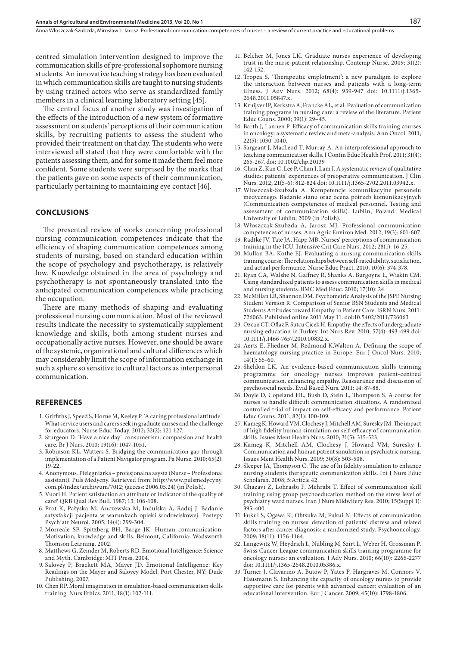centred simulation intervention designed to improve the communication skills of pre-professional sophomore nursing students. An innovative teaching strategy has been evaluated in which communication skills are taught to nursing students by using trained actors who serve as standardized family members in a clinical learning laboratory setting [45].

The central focus of another study was investigation of the effects of the introduction of a new system of formative assessment on students' perceptions of their communication skills, by recruiting patients to assess the student who provided their treatment on that day. The students who were interviewed all stated that they were comfortable with the patients assessing them, and for some it made them feel more confident. Some students were surprised by the marks that the patients gave on some aspects of their communication, particularly pertaining to maintaining eye contact [46].

## **Conclusions**

The presented review of works concerning professional nursing communication competences indicate that the efficiency of shaping communication competences among students of nursing, based on standard education within the scope of psychology and psychotherapy, is relatively low. Knowledge obtained in the area of psychology and psychotherapy is not spontaneously translated into the anticipated communication competences while practicing the occupation.

There are many methods of shaping and evaluating professional nursing communication. Most of the reviewed results indicate the necessity to systematically supplement knowledge and skills, both among student nurses and occupationally active nurses. However, one should be aware of the systemic, organizational and cultural differences which may considerably limit the scope of information exchange in such a sphere so sensitive to cultural factors as interpersonal communication.

## **References**

- 1. Griffiths J, Speed S, Horne M, Keeley P. 'A caring professional attitude': What service users and carers seek in graduate nurses and the challenge for educators. Nurse Educ Today. 2012; 32(2): 121-127.
- 2. Sturgeon D. 'Have a nice day': consumerism. compassion and health care. Br J Nurs. 2010; 19(16): 1047-1051.
- 3. Robinson KL, Watters S. Bridging the communication gap through implementation of a Patient Navigator program. Pa Nurse. 2010; 65(2): 19-22.
- 4. Anonymous. Pielęgniarka profesjonalna asysta (Nurse Professional assistant). Puls Medycny. Retrieved from: http://www.pulsmedycyny. com.pl/index/archiwum/7012; (access: 2006.05.24) (in Polish).
- 5. Vuori H. Patient satisfaction an attribute or indicator of the quality of care? QRB Qual Rev Bull. 1987; 13: 106-108.
- 6. Prot K, Pałyska M, Anczewska M, Indulska A, Raduj J. Badanie satysfakcji pacjenta w warunkach opieki środowiskowej. Postepy Psychiatr Neurol. 2005; 14(4): 299-304.
- 7. Morreale SP, Spitzberg BH, Barge JK. Human communication: Motivation, knowledge and skills. Belmont, California: Wadsworth Thomson Learning, 2002.
- 8. Matthews G, Zeinder M, Roberts RD. Emotional Intelligence: Science and Myth. Cambridge: MIT Press, 2004.
- 9. Salovey P, Brackett MA, Mayer JD. Emotional Intelligence: Key Readings on the Mayer and Salovey Model. Port Chester, NY: Dude Publishing, 2007.
- 10. Chen RP. Moral imagination in simulation-based communication skills training. Nurs Ethics. 2011; 18(1): 102-111.
- 11. Belcher M, Jones LK. Graduate nurses experience of developing trust in the nurse-patient relationship. Contemp Nurse. 2009; 31(2): 142-152.
- 12. Tropea S. 'Therapeutic emplotment': a new paradigm to explore the interaction between nurses and patients with a long-term illness. J Adv Nurs. 2012; 68(4): 939-947 doi: 10.1111/j.1365- 2648.2011.05847.x.
- 13. Kruijver IP, Kerkstra A, Francke AL, et al. Evaluation of communication training programs in nursing care: a review of the literature. Patient Educ Couns. 2000; 39(1): 29–45.
- 14. Barth J, Lannen P. Efficacy of communication skills training courses in oncology: a systematic review and meta-analysis. Ann Oncol. 2011; 22(5): 1030-1040.
- 15. Sargeant J, MacLeod T, Murray A. An interprofessional approach to teaching communication skills. J Contin Educ Health Prof. 2011; 31(4): 265-267. doi: 10.1002/chp.20139
- 16. Chan Z, Kan C, Lee P, Chan I, Lam J. A systematic review of qualitative studies: patients' experiences of preoperative communication. J Clin Nurs. 2012; 21(5-6): 812-824 doi: 10.1111/j.1365-2702.2011.03942.x.
- 17. Włoszczak-Szubzda A. Kompetencje komunikacyjne personelu medycznego. Badanie stanu oraz ocena potrzeb komunikacyjnych (Communication competencies of medical personnel. Testing and assessment of communication skills). Lublin, Poland: Medical University of Lublin; 2009 (in Polish).
- 18. Włoszczak-Szubzda A, Jarosz MJ. Professional communication competences of nurses. Ann Agric Environ Med. 2012; 19(3): 601-607.
- 19. Radtke JV, Tate JA, Happ MB. Nurses' perceptions of communication training in the ICU. Intensive Crit Care Nurs. 2012; 28(1): 16-25.
- 20. Mullan BA, Kothe EJ. Evaluating a nursing communication skills training course: The relationships between self-rated ability, satisfaction, and actual performance. Nurse Educ Pract. 2010; 10(6): 374-378.
- 21. Ryan CA, Walshe N, Gaffney R, Shanks A, Burgoyne L, Wiskin CM. Using standardized patients to assess communication skills in medical and nursing students. BMC Med Educ. 2010; 17(10): 24.
- 22. McMillan LR, Shannon DM. Psychometric Analysis of the JSPE Nursing Student Version R: Comparison of Senior BSN Students and Medical Students Attitudes toward Empathy in Patient Care. ISRN Nurs. 2011: 726063. Published online 2011 May 11. doi:10.5402/2011/726063
- 23. Ozcan CT, Oflaz F, Sutcu Cicek H. Empathy: the effects of undergraduate nursing education in Turkey. Int Nurs Rev. 2010; 57(4): 493-499 doi: 10.1111/j.1466-7657.2010.00832.x.
- 24. Aerts E, Fliedner M, Redmond K,Walton A. Defining the scope of haematology nursing practice in Europe. Eur J Oncol Nurs. 2010;  $14(1)$ : 55-60.
- 25. Sheldon LK. An evidence-based communication skills training programme for oncology nurses improves patient-centred communication. enhancing empathy. Reassurance and discussion of psychosocial needs. Evid Based Nurs. 2011; 14: 87-88.
- 26. Doyle D, Copeland HL, Bush D, Stein L, Thompson S. A course for nurses to handle difficult communication situations. A randomized controlled trial of impact on self-efficacy and performance. Patient Educ Couns. 2011; 82(1): 100-109.
- 27. Kameg K, Howard VM, Clochesy J, Mitchell AM, Suresky JM. The impact of high fidelity human simulation on self-efficacy of communication skills. Issues Ment Health Nurs. 2010; 31(5): 315-523.
- 28. Kameg K, Mitchell AM, Clochesy J, Howard VM, Suresky J. Communication and human patient simulation in psychiatric nursing. Issues Ment Health Nurs. 2009; 30(8): 503-508.
- 29. Sleeper JA, Thompson C. The use of hi fidelity simulation to enhance nursing students therapeutic communication skills. Int J Nurs Educ Scholarsh. 2008; 5:Article 42.
- 30. Ghazavi Z, Lohrasbi F, Mehrabi T. Effect of communication skill training using group psychoeducation method on the stress level of psychiatry ward nurses. Iran J Nurs Midwifery Res. 2010; 15(Suppl 1): 395-400.
- 31. Fukui S, Ogawa K, Ohtsuka M, Fukui N. Effects of communication skills training on nurses' detection of patients' distress and related factors after cancer diagnosis: a randomized study. Psychooncology. 2009; 18(11): 1156-1164.
- 32. Langewitz W, Heydrich L, Nübling M, Szirt L, Weber H, Grossman P. Swiss Cancer League communication skills training programme for oncology nurses: an evaluation. J Adv Nurs. 2010; 66(10): 2266-2277 doi: 10.1111/j.1365-2648.2010.05386.x.
- 33. Turner J, Clavarino A, Butow P, Yates P, Hargraves M, Connors V, Hausmann S. Enhancing the capacity of oncology nurses to provide supportive care for parents with advanced cancer: evaluation of an educational intervention. Eur J Cancer. 2009; 45(10): 1798-1806.